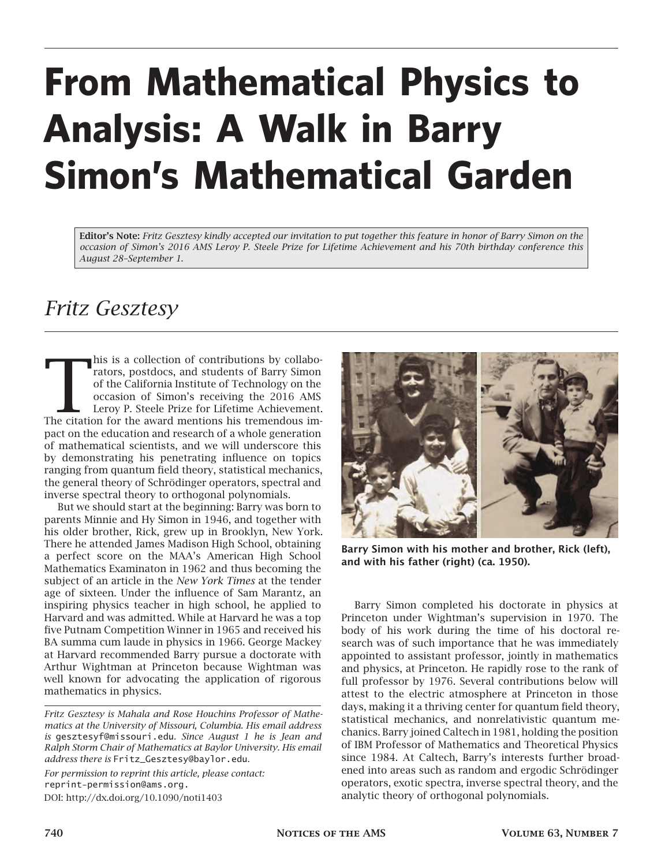# **From Mathematical Physics to Analysis: A Walk in Barry Simon's Mathematical Garden**

**Editor's Note:** *Fritz Gesztesy kindly accepted our invitation to put together this feature in honor of Barry Simon on the occasion of Simon's 2016 AMS Leroy P. Steele Prize for Lifetime Achievement and his 70th birthday conference this August 28–September 1.*

## *Fritz Gesztesy*

his is a collection of contributions by collaborators, postdocs, and students of Barry Simon of the California Institute of Technology on the occasion of Simon's receiving the 2016 AMS Leroy P. Steele Prize for Lifetime Ac his is a collection of contributions by collaborators, postdocs, and students of Barry Simon of the California Institute of Technology on the occasion of Simon's receiving the 2016 AMS Leroy P. Steele Prize for Lifetime Achievement. pact on the education and research of a whole generation of mathematical scientists, and we will underscore this by demonstrating his penetrating influence on topics ranging from quantum field theory, statistical mechanics, the general theory of Schrödinger operators, spectral and inverse spectral theory to orthogonal polynomials.

But we should start at the beginning: Barry was born to parents Minnie and Hy Simon in 1946, and together with his older brother, Rick, grew up in Brooklyn, New York. There he attended James Madison High School, obtaining a perfect score on the MAA's American High School Mathematics Examinaton in 1962 and thus becoming the subject of an article in the *New York Times* at the tender age of sixteen. Under the influence of Sam Marantz, an inspiring physics teacher in high school, he applied to Harvard and was admitted. While at Harvard he was a top five Putnam Competition Winner in 1965 and received his BA summa cum laude in physics in 1966. George Mackey at Harvard recommended Barry pursue a doctorate with Arthur Wightman at Princeton because Wightman was well known for advocating the application of rigorous mathematics in physics.

*Fritz Gesztesy is Mahala and Rose Houchins Professor of Mathematics at the University of Missouri, Columbia. His email address is* gesztesyf@missouri.edu*. Since August 1 he is Jean and Ralph Storm Chair of Mathematics at Baylor University. His email address there is* Fritz\_Gesztesy@baylor.edu*.*

*For permission to reprint this article, please contact:* reprint-permission@ams.org. DOI: http://dx.doi.org/10.1090/noti1403



**Barry Simon with his mother and brother, Rick (left), and with his father (right) (ca. 1950).**

Barry Simon completed his doctorate in physics at Princeton under Wightman's supervision in 1970. The body of his work during the time of his doctoral research was of such importance that he was immediately appointed to assistant professor, jointly in mathematics and physics, at Princeton. He rapidly rose to the rank of full professor by 1976. Several contributions below will attest to the electric atmosphere at Princeton in those days, making it a thriving center for quantum field theory, statistical mechanics, and nonrelativistic quantum mechanics. Barry joined Caltech in 1981, holding the position of IBM Professor of Mathematics and Theoretical Physics since 1984. At Caltech, Barry's interests further broadened into areas such as random and ergodic Schrödinger operators, exotic spectra, inverse spectral theory, and the analytic theory of orthogonal polynomials.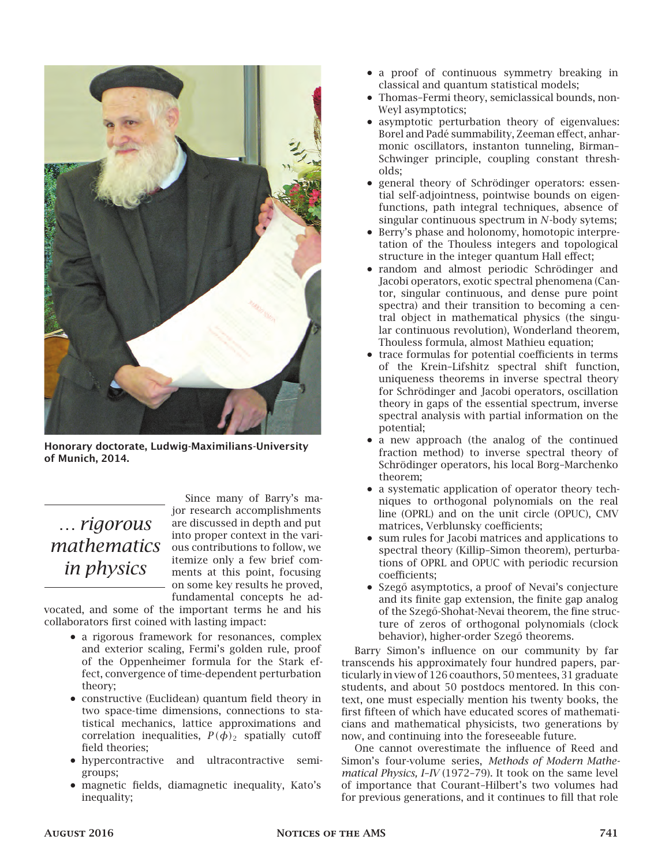

**Honorary doctorate, Ludwig-Maximilians-University of Munich, 2014.**

## … *rigorous in physics*

*mathematics* **dus** contributions to follow, we Since many of Barry's major research accomplishments are discussed in depth and put into proper context in the variitemize only a few brief comments at this point, focusing on some key results he proved, fundamental concepts he ad-

vocated, and some of the important terms he and his collaborators first coined with lasting impact:

- a rigorous framework for resonances, complex and exterior scaling, Fermi's golden rule, proof of the Oppenheimer formula for the Stark effect, convergence of time-dependent perturbation theory;
- constructive (Euclidean) quantum field theory in two space-time dimensions, connections to statistical mechanics, lattice approximations and correlation inequalities,  $P(\phi)_2$  spatially cutoff field theories;
- hypercontractive and ultracontractive semigroups;
- magnetic fields, diamagnetic inequality, Kato's inequality;
- a proof of continuous symmetry breaking in classical and quantum statistical models;
- Thomas–Fermi theory, semiclassical bounds, non-Weyl asymptotics;
- asymptotic perturbation theory of eigenvalues: Borel and Padé summability, Zeeman effect, anharmonic oscillators, instanton tunneling, Birman– Schwinger principle, coupling constant thresholds;
- general theory of Schrödinger operators: essential self-adjointness, pointwise bounds on eigenfunctions, path integral techniques, absence of singular continuous spectrum in  $N$ -body sytems;
- Berry's phase and holonomy, homotopic interpretation of the Thouless integers and topological structure in the integer quantum Hall effect;
- random and almost periodic Schrödinger and Jacobi operators, exotic spectral phenomena (Cantor, singular continuous, and dense pure point spectra) and their transition to becoming a central object in mathematical physics (the singular continuous revolution), Wonderland theorem, Thouless formula, almost Mathieu equation;
- trace formulas for potential coefficients in terms of the Krein–Lifshitz spectral shift function, uniqueness theorems in inverse spectral theory for Schrödinger and Jacobi operators, oscillation theory in gaps of the essential spectrum, inverse spectral analysis with partial information on the potential;
- a new approach (the analog of the continued fraction method) to inverse spectral theory of Schrödinger operators, his local Borg–Marchenko theorem;
- a systematic application of operator theory techniques to orthogonal polynomials on the real line (OPRL) and on the unit circle (OPUC), CMV matrices, Verblunsky coefficients;
- sum rules for Jacobi matrices and applications to spectral theory (Killip–Simon theorem), perturbations of OPRL and OPUC with periodic recursion coefficients;
- Szegő asymptotics, a proof of Nevai's conjecture and its finite gap extension, the finite gap analog of the Szegő-Shohat-Nevai theorem, the fine structure of zeros of orthogonal polynomials (clock behavior), higher-order Szegő theorems.

Barry Simon's influence on our community by far transcends his approximately four hundred papers, particularly in view of 126 coauthors, 50 mentees, 31 graduate students, and about 50 postdocs mentored. In this context, one must especially mention his twenty books, the first fifteen of which have educated scores of mathematicians and mathematical physicists, two generations by now, and continuing into the foreseeable future.

One cannot overestimate the influence of Reed and Simon's four-volume series, *Methods of Modern Mathematical Physics, I–IV* (1972–79). It took on the same level of importance that Courant–Hilbert's two volumes had for previous generations, and it continues to fill that role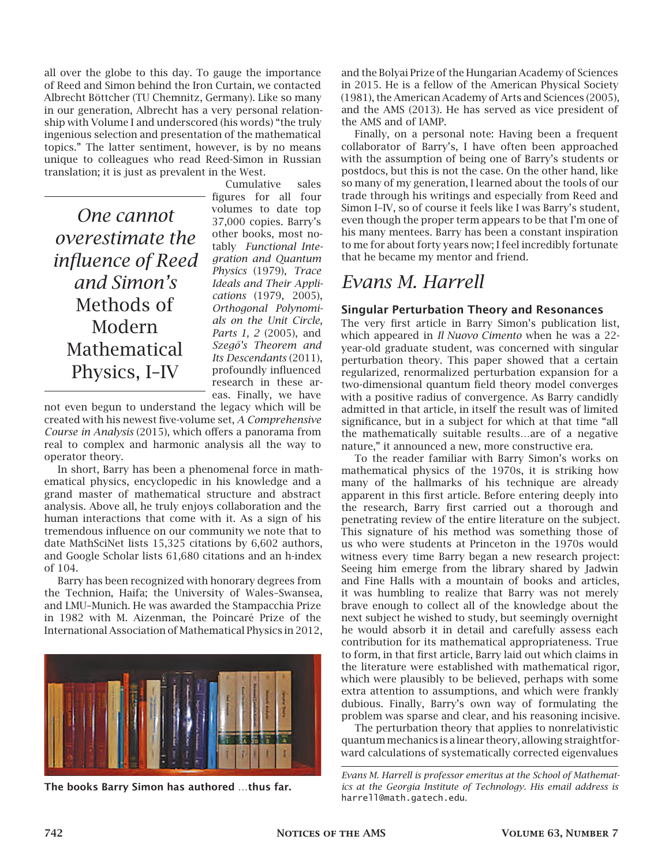all over the globe to this day. To gauge the importance of Reed and Simon behind the Iron Curtain, we contacted Albrecht Böttcher (TU Chemnitz, Germany). Like so many in our generation, Albrecht has a very personal relationship with Volume I and underscored (his words) "the truly ingenious selection and presentation of the mathematical topics." The latter sentiment, however, is by no means unique to colleagues who read Reed-Simon in Russian translation; it is just as prevalent in the West.

*One cannot overestimate the influence of Reed and Simon's* Methods of Modern Mathematical Physics, I–IV

Cumulative sales figures for all four volumes to date top 37,000 copies. Barry's other books, most notably *Functional Integration and Quantum Physics* (1979), *Trace Ideals and Their Applications* (1979, 2005), *Orthogonal Polynomials on the Unit Circle, Parts 1, 2* (2005), and *Szegő's Theorem and Its Descendants* (2011), profoundly influenced research in these areas. Finally, we have

not even begun to understand the legacy which will be created with his newest five-volume set, *A Comprehensive Course in Analysis* (2015), which offers a panorama from real to complex and harmonic analysis all the way to operator theory.

In short, Barry has been a phenomenal force in mathematical physics, encyclopedic in his knowledge and a grand master of mathematical structure and abstract analysis. Above all, he truly enjoys collaboration and the human interactions that come with it. As a sign of his tremendous influence on our community we note that to date MathSciNet lists 15,325 citations by 6,602 authors, and Google Scholar lists 61,680 citations and an h-index of 104.

Barry has been recognized with honorary degrees from the Technion, Haifa; the University of Wales–Swansea, and LMU–Munich. He was awarded the Stampacchia Prize in 1982 with M. Aizenman, the Poincaré Prize of the International Association of Mathematical Physics in 2012,



**The books Barry Simon has authored** …**thus far.**

and the Bolyai Prize of the Hungarian Academy of Sciences in 2015. He is a fellow of the American Physical Society (1981), the American Academy of Arts and Sciences (2005), and the AMS (2013). He has served as vice president of the AMS and of IAMP.

Finally, on a personal note: Having been a frequent collaborator of Barry's, I have often been approached with the assumption of being one of Barry's students or postdocs, but this is not the case. On the other hand, like so many of my generation, I learned about the tools of our trade through his writings and especially from Reed and Simon I–IV, so of course it feels like I was Barry's student, even though the proper term appears to be that I'm one of his many mentees. Barry has been a constant inspiration to me for about forty years now; I feel incredibly fortunate that he became my mentor and friend.

## *Evans M. Harrell*

#### **Singular Perturbation Theory and Resonances**

The very first article in Barry Simon's publication list, which appeared in *Il Nuovo Cimento* when he was a 22 year-old graduate student, was concerned with singular perturbation theory. This paper showed that a certain regularized, renormalized perturbation expansion for a two-dimensional quantum field theory model converges with a positive radius of convergence. As Barry candidly admitted in that article, in itself the result was of limited significance, but in a subject for which at that time "all the mathematically suitable results…are of a negative nature," it announced a new, more constructive era.

To the reader familiar with Barry Simon's works on mathematical physics of the 1970s, it is striking how many of the hallmarks of his technique are already apparent in this first article. Before entering deeply into the research, Barry first carried out a thorough and penetrating review of the entire literature on the subject. This signature of his method was something those of us who were students at Princeton in the 1970s would witness every time Barry began a new research project: Seeing him emerge from the library shared by Jadwin and Fine Halls with a mountain of books and articles, it was humbling to realize that Barry was not merely brave enough to collect all of the knowledge about the next subject he wished to study, but seemingly overnight he would absorb it in detail and carefully assess each contribution for its mathematical appropriateness. True to form, in that first article, Barry laid out which claims in the literature were established with mathematical rigor, which were plausibly to be believed, perhaps with some extra attention to assumptions, and which were frankly dubious. Finally, Barry's own way of formulating the problem was sparse and clear, and his reasoning incisive.

The perturbation theory that applies to nonrelativistic quantummechanics is a linear theory, allowing straightforward calculations of systematically corrected eigenvalues

*Evans M. Harrell is professor emeritus at the School of Mathematics at the Georgia Institute of Technology. His email address is* harrell@math.gatech.edu*.*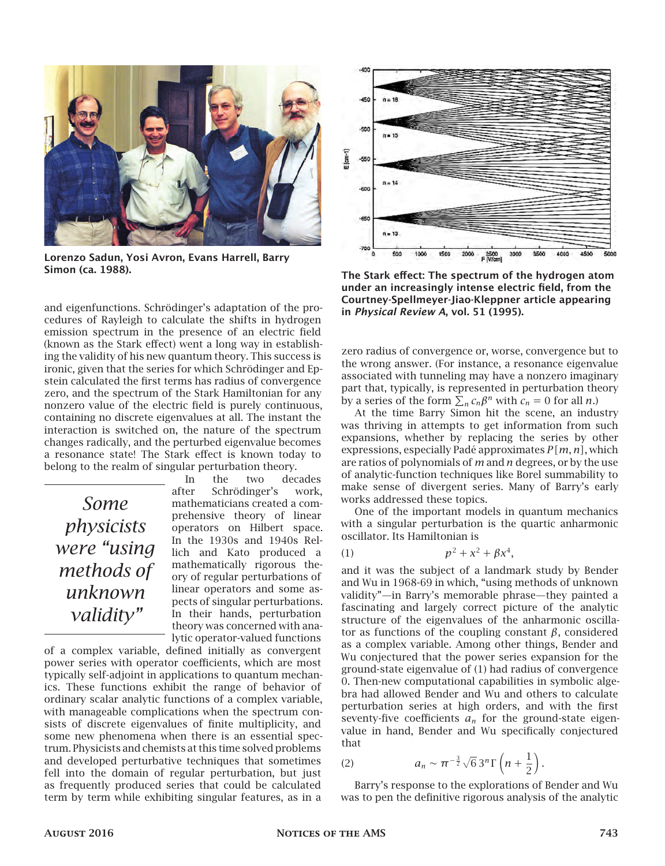

**Lorenzo Sadun, Yosi Avron, Evans Harrell, Barry Simon (ca. 1988).**

and eigenfunctions. Schrödinger's adaptation of the procedures of Rayleigh to calculate the shifts in hydrogen emission spectrum in the presence of an electric field (known as the Stark effect) went a long way in establishing the validity of his new quantum theory. This success is ironic, given that the series for which Schrödinger and Epstein calculated the first terms has radius of convergence zero, and the spectrum of the Stark Hamiltonian for any nonzero value of the electric field is purely continuous, containing no discrete eigenvalues at all. The instant the interaction is switched on, the nature of the spectrum changes radically, and the perturbed eigenvalue becomes a resonance state! The Stark effect is known today to belong to the realm of singular perturbation theory.

## *Some physicists were "using methods of unknown validity"*

In the two decades after Schrödinger's work, mathematicians created a comprehensive theory of linear operators on Hilbert space. In the 1930s and 1940s Rellich and Kato produced a mathematically rigorous theory of regular perturbations of linear operators and some aspects of singular perturbations. In their hands, perturbation theory was concerned with analytic operator-valued functions

of a complex variable, defined initially as convergent power series with operator coefficients, which are most typically self-adjoint in applications to quantum mechanics. These functions exhibit the range of behavior of ordinary scalar analytic functions of a complex variable, with manageable complications when the spectrum consists of discrete eigenvalues of finite multiplicity, and some new phenomena when there is an essential spectrum. Physicists and chemists at this time solved problems and developed perturbative techniques that sometimes fell into the domain of regular perturbation, but just as frequently produced series that could be calculated term by term while exhibiting singular features, as in a



**The Stark effect: The spectrum of the hydrogen atom under an increasingly intense electric field, from the Courtney-Spellmeyer-Jiao-Kleppner article appearing in** *Physical Review A***, vol. 51 (1995).**

zero radius of convergence or, worse, convergence but to the wrong answer. (For instance, a resonance eigenvalue associated with tunneling may have a nonzero imaginary part that, typically, is represented in perturbation theory by a series of the form  $\sum_n c_n \beta^n$  with  $c_n = 0$  for all *n*.)

At the time Barry Simon hit the scene, an industry was thriving in attempts to get information from such expansions, whether by replacing the series by other expressions, especially Padé approximates  $P[m, n]$ , which are ratios of polynomials of  $m$  and  $n$  degrees, or by the use of analytic-function techniques like Borel summability to make sense of divergent series. Many of Barry's early works addressed these topics.

One of the important models in quantum mechanics with a singular perturbation is the quartic anharmonic oscillator. Its Hamiltonian is

(1) 
$$
p^2 + x^2 + \beta x^4,
$$

and it was the subject of a landmark study by Bender and Wu in 1968-69 in which, "using methods of unknown validity"—in Barry's memorable phrase—they painted a fascinating and largely correct picture of the analytic structure of the eigenvalues of the anharmonic oscillator as functions of the coupling constant  $\beta$ , considered as a complex variable. Among other things, Bender and Wu conjectured that the power series expansion for the ground-state eigenvalue of (1) had radius of convergence 0. Then-new computational capabilities in symbolic algebra had allowed Bender and Wu and others to calculate perturbation series at high orders, and with the first seventy-five coefficients  $a_n$  for the ground-state eigenvalue in hand, Bender and Wu specifically conjectured that

(2) 
$$
a_n \sim \pi^{-\frac{3}{2}} \sqrt{6} \, 3^n \Gamma\left(n+\frac{1}{2}\right).
$$

Barry's response to the explorations of Bender and Wu was to pen the definitive rigorous analysis of the analytic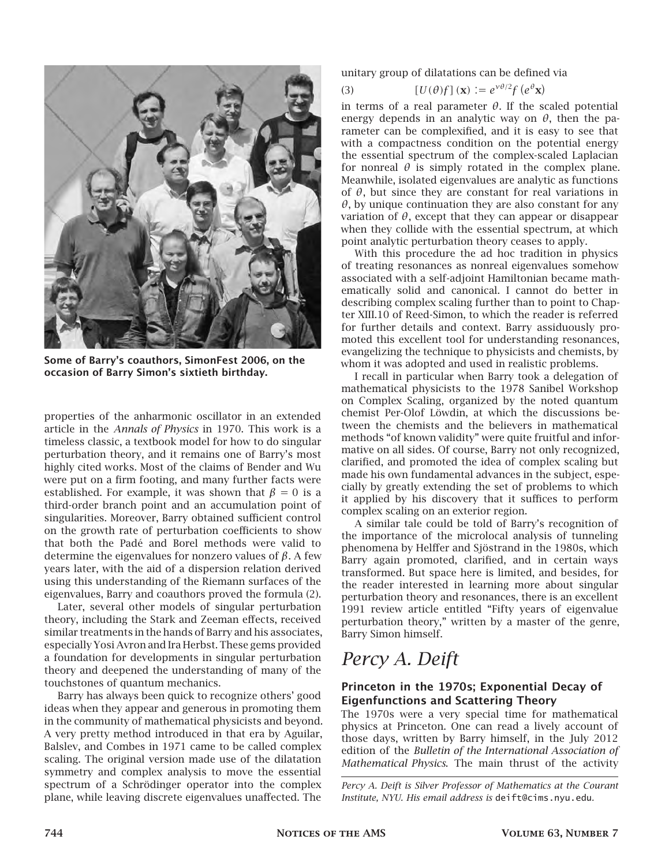

**Some of Barry's coauthors, SimonFest 2006, on the occasion of Barry Simon's sixtieth birthday.**

properties of the anharmonic oscillator in an extended article in the *Annals of Physics* in 1970. This work is a timeless classic, a textbook model for how to do singular perturbation theory, and it remains one of Barry's most highly cited works. Most of the claims of Bender and Wu were put on a firm footing, and many further facts were established. For example, it was shown that  $\beta = 0$  is a third-order branch point and an accumulation point of singularities. Moreover, Barry obtained sufficient control on the growth rate of perturbation coefficients to show that both the Padé and Borel methods were valid to determine the eigenvalues for nonzero values of  $\beta$ . A few years later, with the aid of a dispersion relation derived using this understanding of the Riemann surfaces of the eigenvalues, Barry and coauthors proved the formula (2).

Later, several other models of singular perturbation theory, including the Stark and Zeeman effects, received similar treatments in the hands of Barry and his associates, especially Yosi Avron and Ira Herbst. These gems provided a foundation for developments in singular perturbation theory and deepened the understanding of many of the touchstones of quantum mechanics.

Barry has always been quick to recognize others' good ideas when they appear and generous in promoting them in the community of mathematical physicists and beyond. A very pretty method introduced in that era by Aguilar, Balslev, and Combes in 1971 came to be called complex scaling. The original version made use of the dilatation symmetry and complex analysis to move the essential spectrum of a Schrödinger operator into the complex plane, while leaving discrete eigenvalues unaffected. The

unitary group of dilatations can be defined via

(3) 
$$
[U(\theta)f](\mathbf{x}) := e^{\gamma \theta/2} f(e^{\theta} \mathbf{x})
$$

in terms of a real parameter  $\theta$ . If the scaled potential energy depends in an analytic way on  $\theta$ , then the parameter can be complexified, and it is easy to see that with a compactness condition on the potential energy the essential spectrum of the complex-scaled Laplacian for nonreal  $\theta$  is simply rotated in the complex plane. Meanwhile, isolated eigenvalues are analytic as functions of  $\theta$ , but since they are constant for real variations in  $\theta$ , by unique continuation they are also constant for any variation of  $\theta$ , except that they can appear or disappear when they collide with the essential spectrum, at which point analytic perturbation theory ceases to apply.

With this procedure the ad hoc tradition in physics of treating resonances as nonreal eigenvalues somehow associated with a self-adjoint Hamiltonian became mathematically solid and canonical. I cannot do better in describing complex scaling further than to point to Chapter XIII.10 of Reed-Simon, to which the reader is referred for further details and context. Barry assiduously promoted this excellent tool for understanding resonances, evangelizing the technique to physicists and chemists, by whom it was adopted and used in realistic problems.

I recall in particular when Barry took a delegation of mathematical physicists to the 1978 Sanibel Workshop on Complex Scaling, organized by the noted quantum chemist Per-Olof Löwdin, at which the discussions between the chemists and the believers in mathematical methods "of known validity" were quite fruitful and informative on all sides. Of course, Barry not only recognized, clarified, and promoted the idea of complex scaling but made his own fundamental advances in the subject, especially by greatly extending the set of problems to which it applied by his discovery that it suffices to perform complex scaling on an exterior region.

A similar tale could be told of Barry's recognition of the importance of the microlocal analysis of tunneling phenomena by Helffer and Sjöstrand in the 1980s, which Barry again promoted, clarified, and in certain ways transformed. But space here is limited, and besides, for the reader interested in learning more about singular perturbation theory and resonances, there is an excellent 1991 review article entitled "Fifty years of eigenvalue perturbation theory," written by a master of the genre, Barry Simon himself.

## *Percy A. Deift*

#### **Princeton in the 1970s; Exponential Decay of Eigenfunctions and Scattering Theory**

The 1970s were a very special time for mathematical physics at Princeton. One can read a lively account of those days, written by Barry himself, in the July 2012 edition of the *Bulletin of the International Association of Mathematical Physics*. The main thrust of the activity

*Percy A. Deift is Silver Professor of Mathematics at the Courant Institute, NYU. His email address is* deift@cims.nyu.edu*.*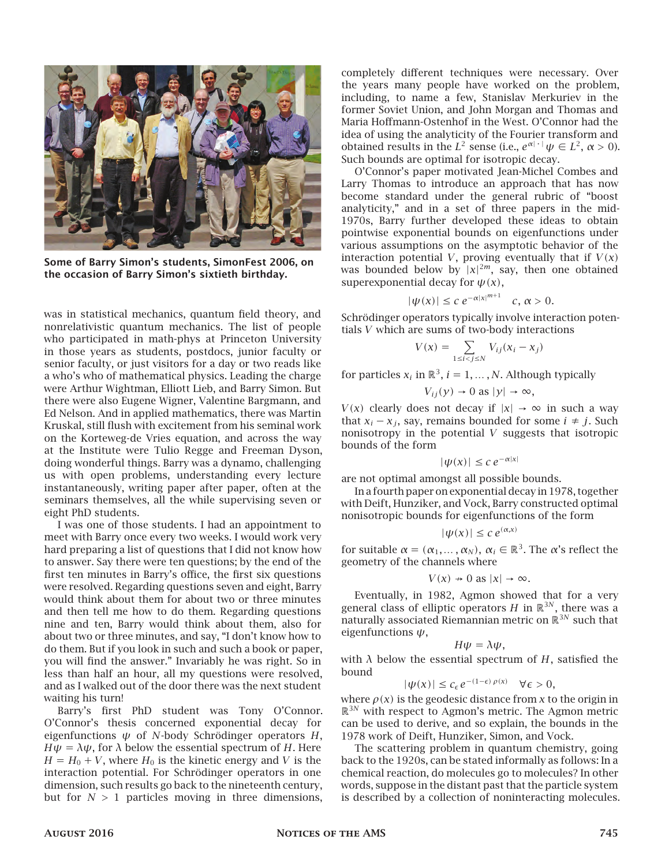

**Some of Barry Simon's students, SimonFest 2006, on the occasion of Barry Simon's sixtieth birthday.**

was in statistical mechanics, quantum field theory, and nonrelativistic quantum mechanics. The list of people who participated in math-phys at Princeton University in those years as students, postdocs, junior faculty or senior faculty, or just visitors for a day or two reads like a who's who of mathematical physics. Leading the charge were Arthur Wightman, Elliott Lieb, and Barry Simon. But there were also Eugene Wigner, Valentine Bargmann, and Ed Nelson. And in applied mathematics, there was Martin Kruskal, still flush with excitement from his seminal work on the Korteweg-de Vries equation, and across the way at the Institute were Tulio Regge and Freeman Dyson, doing wonderful things. Barry was a dynamo, challenging us with open problems, understanding every lecture instantaneously, writing paper after paper, often at the seminars themselves, all the while supervising seven or eight PhD students.

I was one of those students. I had an appointment to meet with Barry once every two weeks. I would work very hard preparing a list of questions that I did not know how to answer. Say there were ten questions; by the end of the first ten minutes in Barry's office, the first six questions were resolved. Regarding questions seven and eight, Barry would think about them for about two or three minutes and then tell me how to do them. Regarding questions nine and ten, Barry would think about them, also for about two or three minutes, and say, "I don't know how to do them. But if you look in such and such a book or paper, you will find the answer." Invariably he was right. So in less than half an hour, all my questions were resolved, and as I walked out of the door there was the next student waiting his turn!

Barry's first PhD student was Tony O'Connor. O'Connor's thesis concerned exponential decay for eigenfunctions  $\psi$  of N-body Schrödinger operators H,  $H\psi = \lambda\psi$ , for  $\lambda$  below the essential spectrum of H. Here  $H = H_0 + V$ , where  $H_0$  is the kinetic energy and V is the interaction potential. For Schrödinger operators in one dimension, such results go back to the nineteenth century, but for  $N > 1$  particles moving in three dimensions, completely different techniques were necessary. Over the years many people have worked on the problem, including, to name a few, Stanislav Merkuriev in the former Soviet Union, and John Morgan and Thomas and Maria Hoffmann-Ostenhof in the West. O'Connor had the idea of using the analyticity of the Fourier transform and obtained results in the  $L^2$  sense (i.e.,  $e^{\alpha|\cdot|}\psi \in L^2$ ,  $\alpha > 0$ ). Such bounds are optimal for isotropic decay.

O'Connor's paper motivated Jean-Michel Combes and Larry Thomas to introduce an approach that has now become standard under the general rubric of "boost analyticity," and in a set of three papers in the mid-1970s, Barry further developed these ideas to obtain pointwise exponential bounds on eigenfunctions under various assumptions on the asymptotic behavior of the interaction potential V, proving eventually that if  $V(x)$ was bounded below by  $|x|^{2m}$ , say, then one obtained superexponential decay for  $\psi(x)$ ,

$$
|\psi(x)| \le c e^{-\alpha |x|^{m+1}} \quad c, \alpha > 0.
$$

Schrödinger operators typically involve interaction potentials  $V$  which are sums of two-body interactions

$$
V(x) = \sum_{1 \le i < j \le N} V_{ij} (x_i - x_j)
$$

for particles  $x_i$  in  $\mathbb{R}^3$ ,  $i = 1, ..., N$ . Although typically

$$
V_{ij}(y) \rightarrow 0
$$
 as  $|y| \rightarrow \infty$ ,

 $V(x)$  clearly does not decay if  $|x| \to \infty$  in such a way that  $x_i - x_i$ , say, remains bounded for some  $i \neq j$ . Such nonisotropy in the potential  $V$  suggests that isotropic bounds of the form

$$
|\psi(x)| \leq c \, e^{-\alpha |x|}
$$

are not optimal amongst all possible bounds.

In a fourth paper on exponential decay in 1978, together with Deift, Hunziker, and Vock, Barry constructed optimal nonisotropic bounds for eigenfunctions of the form

$$
|\psi(x)| \le c e^{(\alpha, x)}
$$

for suitable  $\alpha = (\alpha_1, ..., \alpha_N)$ ,  $\alpha_i \in \mathbb{R}^3$ . The  $\alpha$ 's reflect the geometry of the channels where

$$
V(x) \rightarrow 0
$$
 as  $|x| \rightarrow \infty$ .

Eventually, in 1982, Agmon showed that for a very general class of elliptic operators H in  $\mathbb{R}^{3N},$  there was a naturally associated Riemannian metric on  $\mathbb{R}^{3N}$  such that eigenfunctions  $\psi$ ,

$$
H\psi=\lambda\psi,
$$

with  $\lambda$  below the essential spectrum of  $H$ , satisfied the bound

 $|\psi(x)| \leq c_{\epsilon} e^{-(1-\epsilon)\rho(x)} \quad \forall \epsilon > 0,$ 

where  $\rho(x)$  is the geodesic distance from x to the origin in  $\mathbb{R}^{3N}$  with respect to Agmon's metric. The Agmon metric can be used to derive, and so explain, the bounds in the 1978 work of Deift, Hunziker, Simon, and Vock.

The scattering problem in quantum chemistry, going back to the 1920s, can be stated informally as follows: In a chemical reaction, do molecules go to molecules? In other words, suppose in the distant past that the particle system is described by a collection of noninteracting molecules.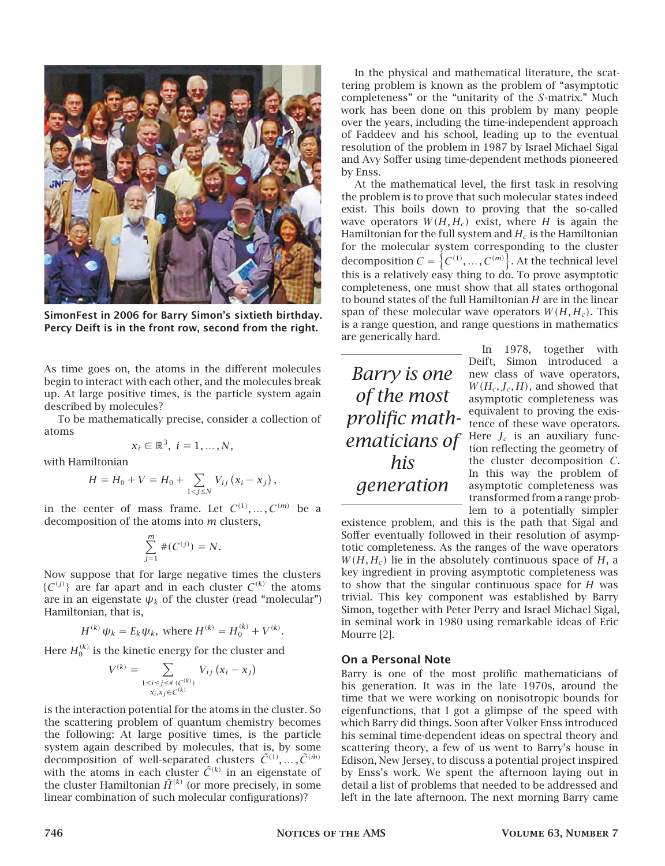

**SimonFest in 2006 for Barry Simon's sixtieth birthday. Percy Deift is in the front row, second from the right.**

As time goes on, the atoms in the different molecules begin to interact with each other, and the molecules break up. At large positive times, is the particle system again described by molecules?

To be mathematically precise, consider a collection of atoms

$$
x_i \in \mathbb{R}^3, i = 1, \ldots, N,
$$

with Hamiltonian

$$
H = H_0 + V = H_0 + \sum_{1 < j \le N} V_{ij} (x_i - x_j),
$$

in the center of mass frame. Let  $C^{(1)}, \ldots, C^{(m)}$  be a decomposition of the atoms into  *clusters,* 

$$
\sum_{j=1}^{m} \#(C^{(j)}) = N.
$$

Now suppose that for large negative times the clusters  $\{C^{(j)}\}$  are far apart and in each cluster  $C^{(k)}$  the atoms are in an eigenstate  $\psi_k$  of the cluster (read "molecular") Hamiltonian, that is,

$$
H^{(k)}\psi_k = E_k\psi_k, \text{ where } H^{(k)} = H_0^{(k)} + V^{(k)}.
$$

Here  $H_0^{(k)}$  is the kinetic energy for the cluster and

$$
V^{(k)} = \sum_{\substack{1 \le i \le j \le \#(C^{(k)}) \\ x_i, x_j \in C^{(k)}}} V_{ij} (x_i - x_j)
$$

is the interaction potential for the atoms in the cluster. So the scattering problem of quantum chemistry becomes the following: At large positive times, is the particle system again described by molecules, that is, by some decomposition of well-separated clusters  $\tilde{C}^{(1)}, \ldots, \tilde{C}^{(\tilde{m})}$ with the atoms in each cluster  $\tilde{C}^{(k)}$  in an eigenstate of the cluster Hamiltonian  $\tilde{H}^{(k)}$  (or more precisely, in some linear combination of such molecular configurations)?

In the physical and mathematical literature, the scattering problem is known as the problem of "asymptotic completeness" or the "unitarity of the S-matrix." Much work has been done on this problem by many people over the years, including the time-independent approach of Faddeev and his school, leading up to the eventual resolution of the problem in 1987 by Israel Michael Sigal and Avy Soffer using time-dependent methods pioneered by Enss.

At the mathematical level, the first task in resolving the problem is to prove that such molecular states indeed exist. This boils down to proving that the so-called wave operators  $W(H, H_c)$  exist, where H is again the Hamiltonian for the full system and  $H_c$  is the Hamiltonian for the molecular system corresponding to the cluster decomposition  $C = \{C^{(1)}, \ldots, C^{(m)}\}$ . At the technical level this is a relatively easy thing to do. To prove asymptotic completeness, one must show that all states orthogonal to bound states of the full Hamiltonian  $H$  are in the linear span of these molecular wave operators  $W(H, H_c)$ . This is a range question, and range questions in mathematics are generically hard.

*Barry is one of the most prolific mathematicians of his generation*

In 1978, together with Deift, Simon introduced a new class of wave operators,  $W(H_c, J_c, H)$ , and showed that asymptotic completeness was equivalent to proving the existence of these wave operators. Here  $J_c$  is an auxiliary function reflecting the geometry of the cluster decomposition  $C$ . In this way the problem of asymptotic completeness was transformed from a range problem to a potentially simpler

existence problem, and this is the path that Sigal and Soffer eventually followed in their resolution of asymptotic completeness. As the ranges of the wave operators  $W(H, H_c)$  lie in the absolutely continuous space of H, a key ingredient in proving asymptotic completeness was to show that the singular continuous space for  $H$  was trivial. This key component was established by Barry Simon, together with Peter Perry and Israel Michael Sigal, in seminal work in 1980 using remarkable ideas of Eric Mourre [2].

#### **On a Personal Note**

Barry is one of the most prolific mathematicians of his generation. It was in the late 1970s, around the time that we were working on nonisotropic bounds for eigenfunctions, that I got a glimpse of the speed with which Barry did things. Soon after Volker Enss introduced his seminal time-dependent ideas on spectral theory and scattering theory, a few of us went to Barry's house in Edison, New Jersey, to discuss a potential project inspired by Enss's work. We spent the afternoon laying out in detail a list of problems that needed to be addressed and left in the late afternoon. The next morning Barry came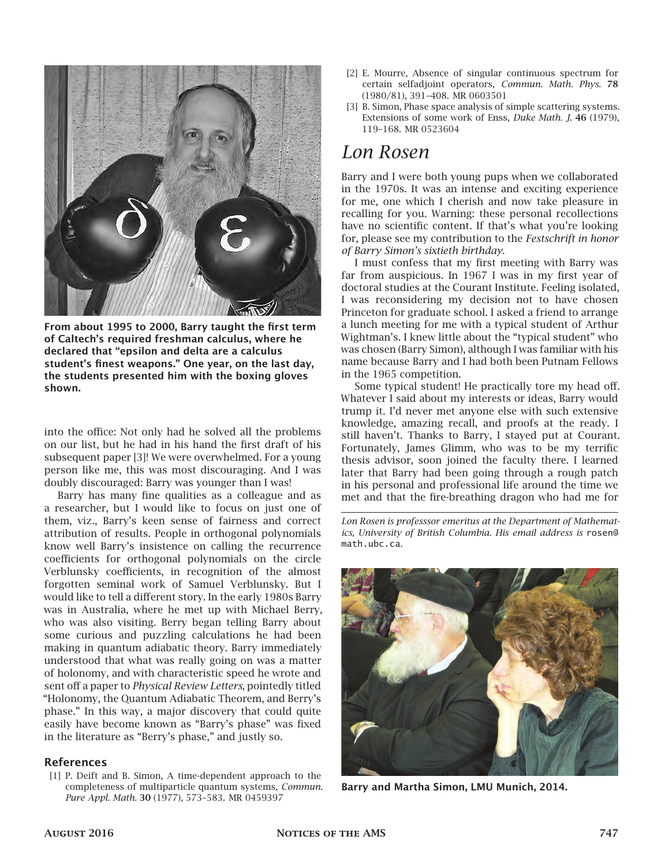

**From about 1995 to 2000, Barry taught the first term of Caltech's required freshman calculus, where he declared that "epsilon and delta are a calculus student's finest weapons." One year, on the last day, the students presented him with the boxing gloves shown.**

into the office: Not only had he solved all the problems on our list, but he had in his hand the first draft of his subsequent paper [3]! We were overwhelmed. For a young person like me, this was most discouraging. And I was doubly discouraged: Barry was younger than I was!

Barry has many fine qualities as a colleague and as a researcher, but I would like to focus on just one of them, viz., Barry's keen sense of fairness and correct attribution of results. People in orthogonal polynomials know well Barry's insistence on calling the recurrence coefficients for orthogonal polynomials on the circle Verblunsky coefficients, in recognition of the almost forgotten seminal work of Samuel Verblunsky. But I would like to tell a different story. In the early 1980s Barry was in Australia, where he met up with Michael Berry, who was also visiting. Berry began telling Barry about some curious and puzzling calculations he had been making in quantum adiabatic theory. Barry immediately understood that what was really going on was a matter of holonomy, and with characteristic speed he wrote and sent off a paper to *Physical Review Letters*, pointedly titled "Holonomy, the Quantum Adiabatic Theorem, and Berry's phase." In this way, a major discovery that could quite easily have become known as "Barry's phase" was fixed in the literature as "Berry's phase," and justly so.

#### **References**

[1] P. Deift and B. Simon, A time-dependent approach to the completeness of multiparticle quantum systems, *Commun. Pure Appl. Math.* **30** (1977), 573–583. MR 0459397

- [2] E. Mourre, Absence of singular continuous spectrum for certain selfadjoint operators, *Commun. Math. Phys.* **78** (1980/81), 391–408. MR 0603501
- [3] B. Simon, Phase space analysis of simple scattering systems. Extensions of some work of Enss, *Duke Math. J.* **46** (1979), 119–168. MR 0523604

## *Lon Rosen*

Barry and I were both young pups when we collaborated in the 1970s. It was an intense and exciting experience for me, one which I cherish and now take pleasure in recalling for you. Warning: these personal recollections have no scientific content. If that's what you're looking for, please see my contribution to the *Festschrift in honor of Barry Simon's sixtieth birthday*.

I must confess that my first meeting with Barry was far from auspicious. In 1967 I was in my first year of doctoral studies at the Courant Institute. Feeling isolated, I was reconsidering my decision not to have chosen Princeton for graduate school. I asked a friend to arrange a lunch meeting for me with a typical student of Arthur Wightman's. I knew little about the "typical student" who was chosen (Barry Simon), although I was familiar with his name because Barry and I had both been Putnam Fellows in the 1965 competition.

Some typical student! He practically tore my head off. Whatever I said about my interests or ideas, Barry would trump it. I'd never met anyone else with such extensive knowledge, amazing recall, and proofs at the ready. I still haven't. Thanks to Barry, I stayed put at Courant. Fortunately, James Glimm, who was to be my terrific thesis advisor, soon joined the faculty there. I learned later that Barry had been going through a rough patch in his personal and professional life around the time we met and that the fire-breathing dragon who had me for

*Lon Rosen is professsor emeritus at the Department of Mathematics, University of British Columbia. His email address is* rosen@ math.ubc.ca*.*



**Barry and Martha Simon, LMU Munich, 2014.**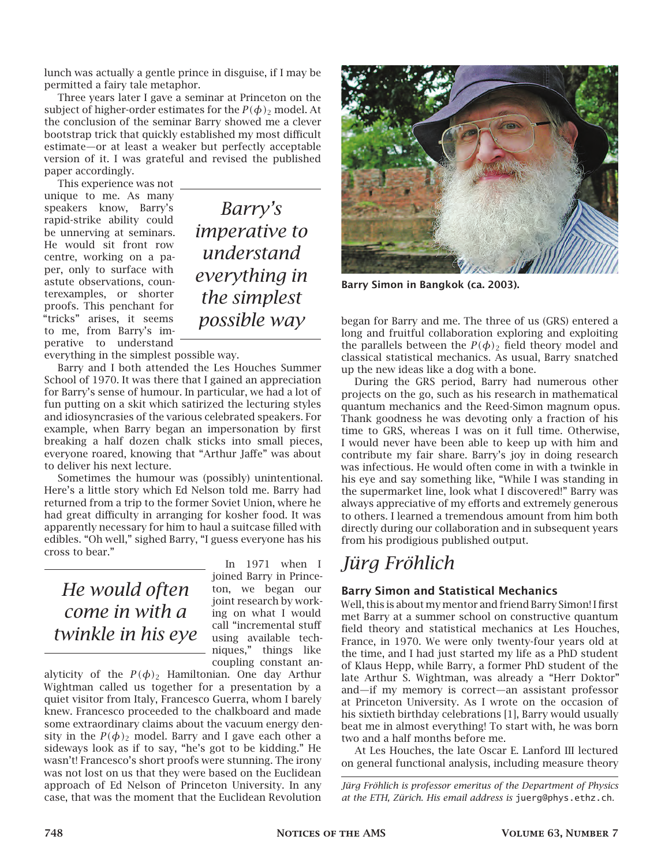lunch was actually a gentle prince in disguise, if I may be permitted a fairy tale metaphor.

Three years later I gave a seminar at Princeton on the subject of higher-order estimates for the  $P(\phi)$  model. At the conclusion of the seminar Barry showed me a clever bootstrap trick that quickly established my most difficult estimate—or at least a weaker but perfectly acceptable version of it. I was grateful and revised the published paper accordingly.

This experience was not unique to me. As many speakers know, Barry's rapid-strike ability could be unnerving at seminars. He would sit front row centre, working on a paper, only to surface with astute observations, counterexamples, or shorter proofs. This penchant for "tricks" arises, it seems to me, from Barry's imperative to understand

*Barry's imperative to understand everything in the simplest possible way*

everything in the simplest possible way.

Barry and I both attended the Les Houches Summer School of 1970. It was there that I gained an appreciation for Barry's sense of humour. In particular, we had a lot of fun putting on a skit which satirized the lecturing styles and idiosyncrasies of the various celebrated speakers. For example, when Barry began an impersonation by first breaking a half dozen chalk sticks into small pieces, everyone roared, knowing that "Arthur Jaffe" was about to deliver his next lecture.

Sometimes the humour was (possibly) unintentional. Here's a little story which Ed Nelson told me. Barry had returned from a trip to the former Soviet Union, where he had great difficulty in arranging for kosher food. It was apparently necessary for him to haul a suitcase filled with edibles. "Oh well," sighed Barry, "I guess everyone has his cross to bear."

## *He would often come in with a twinkle in his eye*

In 1971 when I joined Barry in Princeton, we began our joint research by working on what I would call "incremental stuff using available techniques," things like coupling constant an-

alyticity of the  $P(\phi)_{2}$  Hamiltonian. One day Arthur Wightman called us together for a presentation by a quiet visitor from Italy, Francesco Guerra, whom I barely knew. Francesco proceeded to the chalkboard and made some extraordinary claims about the vacuum energy density in the  $P(\phi)_{2}$  model. Barry and I gave each other a sideways look as if to say, "he's got to be kidding." He wasn't! Francesco's short proofs were stunning. The irony was not lost on us that they were based on the Euclidean approach of Ed Nelson of Princeton University. In any case, that was the moment that the Euclidean Revolution



**Barry Simon in Bangkok (ca. 2003).**

began for Barry and me. The three of us (GRS) entered a long and fruitful collaboration exploring and exploiting the parallels between the  $P(\phi)$  field theory model and classical statistical mechanics. As usual, Barry snatched up the new ideas like a dog with a bone.

During the GRS period, Barry had numerous other projects on the go, such as his research in mathematical quantum mechanics and the Reed-Simon magnum opus. Thank goodness he was devoting only a fraction of his time to GRS, whereas I was on it full time. Otherwise, I would never have been able to keep up with him and contribute my fair share. Barry's joy in doing research was infectious. He would often come in with a twinkle in his eye and say something like, "While I was standing in the supermarket line, look what I discovered!" Barry was always appreciative of my efforts and extremely generous to others. I learned a tremendous amount from him both directly during our collaboration and in subsequent years from his prodigious published output.

## *Jürg Fröhlich*

## **Barry Simon and Statistical Mechanics**

Well, this is about my mentor and friend Barry Simon! I first met Barry at a summer school on constructive quantum field theory and statistical mechanics at Les Houches, France, in 1970. We were only twenty-four years old at the time, and I had just started my life as a PhD student of Klaus Hepp, while Barry, a former PhD student of the late Arthur S. Wightman, was already a "Herr Doktor" and—if my memory is correct—an assistant professor at Princeton University. As I wrote on the occasion of his sixtieth birthday celebrations [1], Barry would usually beat me in almost everything! To start with, he was born two and a half months before me.

At Les Houches, the late Oscar E. Lanford III lectured on general functional analysis, including measure theory

*Jürg Fröhlich is professor emeritus of the Department of Physics at the ETH, Zürich. His email address is* juerg@phys.ethz.ch*.*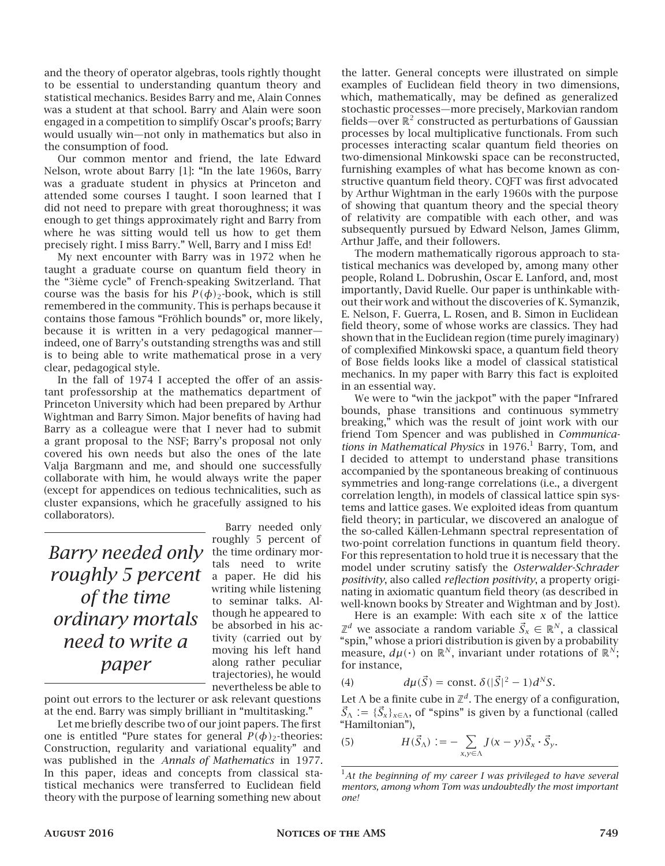and the theory of operator algebras, tools rightly thought to be essential to understanding quantum theory and statistical mechanics. Besides Barry and me, Alain Connes was a student at that school. Barry and Alain were soon engaged in a competition to simplify Oscar's proofs; Barry would usually win—not only in mathematics but also in the consumption of food.

Our common mentor and friend, the late Edward Nelson, wrote about Barry [1]: "In the late 1960s, Barry was a graduate student in physics at Princeton and attended some courses I taught. I soon learned that I did not need to prepare with great thoroughness; it was enough to get things approximately right and Barry from where he was sitting would tell us how to get them precisely right. I miss Barry." Well, Barry and I miss Ed!

My next encounter with Barry was in 1972 when he taught a graduate course on quantum field theory in the "3ième cycle" of French-speaking Switzerland. That course was the basis for his  $P(\phi)_{2}$ -book, which is still remembered in the community. This is perhaps because it contains those famous "Fröhlich bounds" or, more likely, because it is written in a very pedagogical manner indeed, one of Barry's outstanding strengths was and still is to being able to write mathematical prose in a very clear, pedagogical style.

In the fall of 1974 I accepted the offer of an assistant professorship at the mathematics department of Princeton University which had been prepared by Arthur Wightman and Barry Simon. Major benefits of having had Barry as a colleague were that I never had to submit a grant proposal to the NSF; Barry's proposal not only covered his own needs but also the ones of the late Valja Bargmann and me, and should one successfully collaborate with him, he would always write the paper (except for appendices on tedious technicalities, such as cluster expansions, which he gracefully assigned to his collaborators).

*Barry needed only* the time ordinary mor*roughly 5 percent of the time ordinary mortals need to write a paper*

Barry needed only roughly 5 percent of tals need to write a paper. He did his writing while listening to seminar talks. Although he appeared to be absorbed in his activity (carried out by moving his left hand along rather peculiar trajectories), he would nevertheless be able to

point out errors to the lecturer or ask relevant questions at the end. Barry was simply brilliant in "multitasking."

Let me briefly describe two of our joint papers. The first one is entitled "Pure states for general  $P(\phi)_{2}$ -theories: Construction, regularity and variational equality" and was published in the *Annals of Mathematics* in 1977. In this paper, ideas and concepts from classical statistical mechanics were transferred to Euclidean field theory with the purpose of learning something new about

the latter. General concepts were illustrated on simple examples of Euclidean field theory in two dimensions, which, mathematically, may be defined as generalized stochastic processes—more precisely, Markovian random fields—over  $\mathbb{R}^2$  constructed as perturbations of Gaussian processes by local multiplicative functionals. From such processes interacting scalar quantum field theories on two-dimensional Minkowski space can be reconstructed, furnishing examples of what has become known as constructive quantum field theory. CQFT was first advocated by Arthur Wightman in the early 1960s with the purpose of showing that quantum theory and the special theory of relativity are compatible with each other, and was subsequently pursued by Edward Nelson, James Glimm, Arthur Jaffe, and their followers.

The modern mathematically rigorous approach to statistical mechanics was developed by, among many other people, Roland L. Dobrushin, Oscar E. Lanford, and, most importantly, David Ruelle. Our paper is unthinkable without their work and without the discoveries of K. Symanzik, E. Nelson, F. Guerra, L. Rosen, and B. Simon in Euclidean field theory, some of whose works are classics. They had shown that in the Euclidean region (time purely imaginary) of complexified Minkowski space, a quantum field theory of Bose fields looks like a model of classical statistical mechanics. In my paper with Barry this fact is exploited in an essential way.

We were to "win the jackpot" with the paper "Infrared bounds, phase transitions and continuous symmetry breaking," which was the result of joint work with our friend Tom Spencer and was published in *Communica*tions in Mathematical Physics in 1976.<sup>1</sup> Barry, Tom, and I decided to attempt to understand phase transitions accompanied by the spontaneous breaking of continuous symmetries and long-range correlations (i.e., a divergent correlation length), in models of classical lattice spin systems and lattice gases. We exploited ideas from quantum field theory; in particular, we discovered an analogue of the so-called Källen-Lehmann spectral representation of two-point correlation functions in quantum field theory. For this representation to hold true it is necessary that the model under scrutiny satisfy the *Osterwalder-Schrader positivity*, also called *reflection positivity*, a property originating in axiomatic quantum field theory (as described in well-known books by Streater and Wightman and by Jost).

Here is an example: With each site  $x$  of the lattice  $\mathbb{Z}^d$  we associate a random variable  $\vec{\mathcal{S}}_{\mathsf{x}} \in \mathbb{R}^N$ , a classical "spin," whose a priori distribution is given by a probability measure,  $d\mu(\cdot)$  on  $\mathbb{R}^N,$  invariant under rotations of  $\mathbb{R}^N;$ for instance,

(4) 
$$
d\mu(\vec{S}) = \text{const.} \ \delta(|\vec{S}|^2 - 1)d^N S.
$$

Let  $\Lambda$  be a finite cube in  $\mathbb{Z}^d.$  The energy of a configuration,  $\vec{S}_{\Lambda} := {\{\vec{S}_{x}\}}_{x \in \Lambda}$ , of "spins" is given by a functional (called "Hamiltonian"),

(5) 
$$
H(\vec{S}_{\Lambda}) := -\sum_{x,y \in \Lambda} J(x - y) \vec{S}_x \cdot \vec{S}_y.
$$

<sup>1</sup>*At the beginning of my career I was privileged to have several mentors, among whom Tom was undoubtedly the most important one!*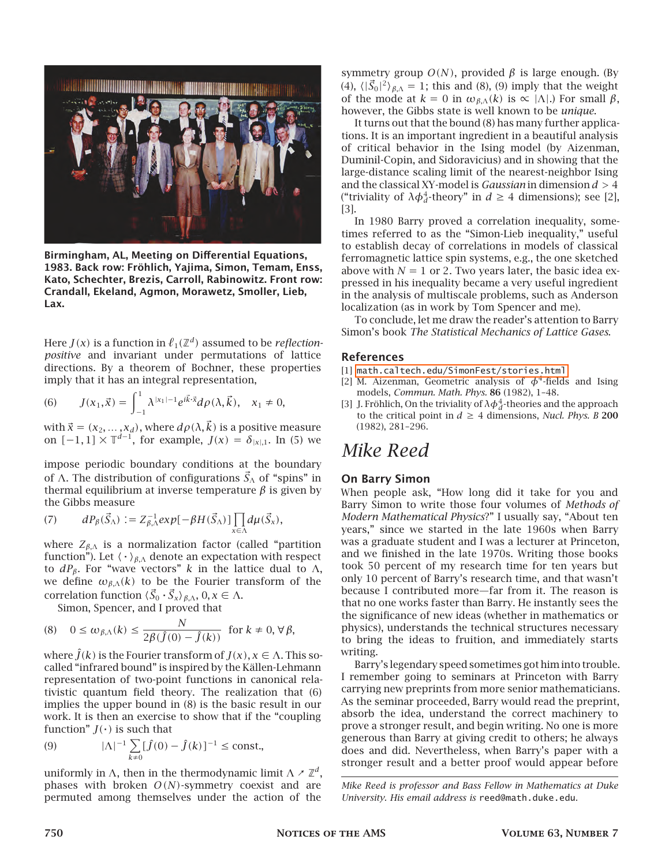

**Birmingham, AL, Meeting on Differential Equations, 1983. Back row: Fröhlich, Yajima, Simon, Temam, Enss, Kato, Schechter, Brezis, Carroll, Rabinowitz. Front row: Crandall, Ekeland, Agmon, Morawetz, Smoller, Lieb, Lax.**

Here  $J(x)$  is a function in  $\ell_1(\mathbb{Z}^d)$  assumed to be *reflectionpositive* and invariant under permutations of lattice directions. By a theorem of Bochner, these properties imply that it has an integral representation,

(6) 
$$
J(x_1, \vec{x}) = \int_{-1}^{1} \lambda^{|x_1| - 1} e^{i\vec{k}\cdot\vec{x}} d\rho(\lambda, \vec{k}), \quad x_1 \neq 0,
$$

with  $\vec{x} = (x_2, ..., x_d)$ , where  $d\rho(\lambda, \vec{k})$  is a positive measure on  $[-1, 1] \times \mathbb{T}^{d-1}$ , for example,  $J(x) = \delta_{|x|,1}$ . In (5) we

impose periodic boundary conditions at the boundary of Λ. The distribution of configurations  $\vec{S}_\Lambda$  of "spins" in thermal equilibrium at inverse temperature  $\beta$  is given by the Gibbs measure

(7) 
$$
dP_{\beta}(\vec{S}_{\Lambda}) := Z_{\beta,\Lambda}^{-1} exp[-\beta H(\vec{S}_{\Lambda})] \prod_{x \in \Lambda} d\mu(\vec{S}_x),
$$

where  $Z_{\beta,\Lambda}$  is a normalization factor (called "partition function"). Let  $\langle\;\cdot\;\rangle_{\beta,\Lambda}$  denote an expectation with respect to  $dP_\beta$ . For "wave vectors" k in the lattice dual to Λ, we define  $\omega_{\beta,\Lambda}(k)$  to be the Fourier transform of the correlation function  $\langle \vec{S}_0 \cdot \vec{S}_x \rangle_{\beta,\Lambda}$ ,  $0, x \in \Lambda$ .

Simon, Spencer, and I proved that

(8) 
$$
0 \le \omega_{\beta,\Lambda}(k) \le \frac{N}{2\beta(\hat{J}(0) - \hat{J}(k))}
$$
 for  $k \ne 0, \forall \beta$ ,

where  $\hat{J}(k)$  is the Fourier transform of  $J(x)$ ,  $x \in \Lambda$ . This socalled "infrared bound" is inspired by the Källen-Lehmann representation of two-point functions in canonical relativistic quantum field theory. The realization that (6) implies the upper bound in (8) is the basic result in our work. It is then an exercise to show that if the "coupling function"  $J(·)$  is such that

(9) 
$$
|\Lambda|^{-1} \sum_{k \neq 0} [\hat{J}(0) - \hat{J}(k)]^{-1} \leq \text{const.},
$$

uniformly in  $\Lambda$ , then in the thermodynamic limit  $\Lambda \times \mathbb{Z}^d$ , phases with broken  $O(N)$ -symmetry coexist and are permuted among themselves under the action of the

symmetry group  $O(N)$ , provided  $\beta$  is large enough. (By (4),  $\langle |\vec{S}_0|^2 \rangle_{\beta,\Lambda} = 1$ ; this and (8), (9) imply that the weight of the mode at  $k = 0$  in  $\omega_{\beta,\Lambda}(k)$  is  $\propto |\Lambda|$ .) For small  $\beta$ , however, the Gibbs state is well known to be *unique*.

It turns out that the bound (8) has many further applications. It is an important ingredient in a beautiful analysis of critical behavior in the Ising model (by Aizenman, Duminil-Copin, and Sidoravicius) and in showing that the large-distance scaling limit of the nearest-neighbor Ising and the classical XY-model is *Gaussian* in dimension  $d > 4$ ("triviality of  $\lambda \phi_d^4$ -theory" in  $d \geq 4$  dimensions); see [2], [3].

In 1980 Barry proved a correlation inequality, sometimes referred to as the "Simon-Lieb inequality," useful to establish decay of correlations in models of classical ferromagnetic lattice spin systems, e.g., the one sketched above with  $N = 1$  or 2. Two years later, the basic idea expressed in his inequality became a very useful ingredient in the analysis of multiscale problems, such as Anderson localization (as in work by Tom Spencer and me).

To conclude, let me draw the reader's attention to Barry Simon's book *The Statistical Mechanics of Lattice Gases*.

#### **References**

- [1] [math.caltech.edu/SimonFest/stories.html](http://math.caltech.edu/SimonFest/stories.html)
- [2] M. Aizenman, Geometric analysis of  $\phi^4$ -fields and Ising models, *Commun. Math. Phys.* **86** (1982), 1–48.
- [3] J. Fröhlich, On the triviality of  $\lambda \phi_d^4$ -theories and the approach to the critical point in  $d \geq 4$  dimensions, *Nucl. Phys. B* 200 (1982), 281–296.

## *Mike Reed*

#### **On Barry Simon**

When people ask, "How long did it take for you and Barry Simon to write those four volumes of *Methods of Modern Mathematical Physics*?" I usually say, "About ten years," since we started in the late 1960s when Barry was a graduate student and I was a lecturer at Princeton, and we finished in the late 1970s. Writing those books took 50 percent of my research time for ten years but only 10 percent of Barry's research time, and that wasn't because I contributed more—far from it. The reason is that no one works faster than Barry. He instantly sees the the significance of new ideas (whether in mathematics or physics), understands the technical structures necessary to bring the ideas to fruition, and immediately starts writing.

Barry's legendary speed sometimes got him into trouble. I remember going to seminars at Princeton with Barry carrying new preprints from more senior mathematicians. As the seminar proceeded, Barry would read the preprint, absorb the idea, understand the correct machinery to prove a stronger result, and begin writing. No one is more generous than Barry at giving credit to others; he always does and did. Nevertheless, when Barry's paper with a stronger result and a better proof would appear before

*Mike Reed is professor and Bass Fellow in Mathematics at Duke University. His email address is* reed@math.duke.edu*.*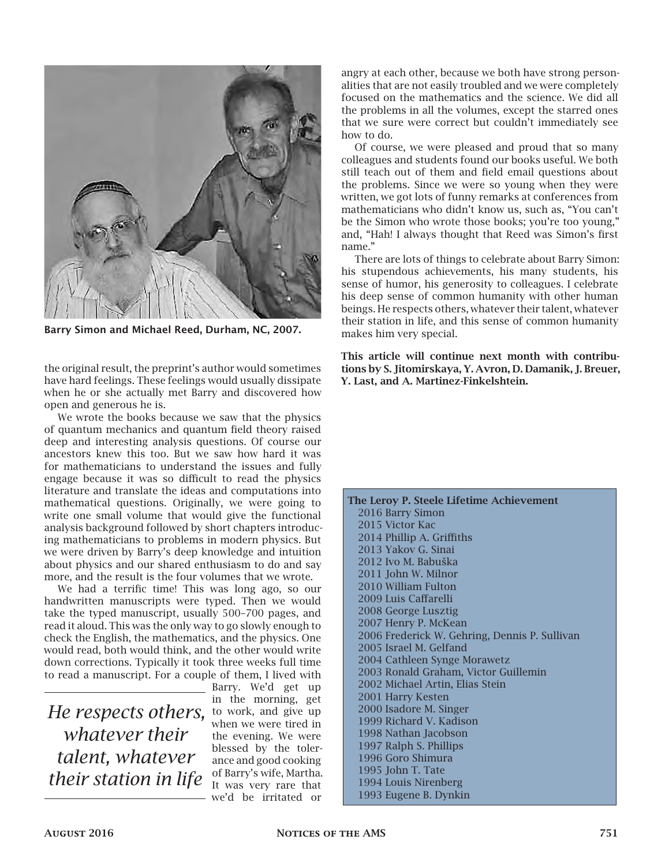

**Barry Simon and Michael Reed, Durham, NC, 2007.**

the original result, the preprint's author would sometimes have hard feelings. These feelings would usually dissipate when he or she actually met Barry and discovered how open and generous he is.

We wrote the books because we saw that the physics of quantum mechanics and quantum field theory raised deep and interesting analysis questions. Of course our ancestors knew this too. But we saw how hard it was for mathematicians to understand the issues and fully engage because it was so difficult to read the physics literature and translate the ideas and computations into mathematical questions. Originally, we were going to write one small volume that would give the functional analysis background followed by short chapters introducing mathematicians to problems in modern physics. But we were driven by Barry's deep knowledge and intuition about physics and our shared enthusiasm to do and say more, and the result is the four volumes that we wrote.

We had a terrific time! This was long ago, so our handwritten manuscripts were typed. Then we would take the typed manuscript, usually 500–700 pages, and read it aloud. This was the only way to go slowly enough to check the English, the mathematics, and the physics. One would read, both would think, and the other would write down corrections. Typically it took three weeks full time to read a manuscript. For a couple of them, I lived with

He respects others, to work, and give up *whatever their talent, whatever their station in life*

Barry. We'd get up in the morning, get when we were tired in the evening. We were blessed by the tolerance and good cooking of Barry's wife, Martha. It was very rare that we'd be irritated or

angry at each other, because we both have strong personalities that are not easily troubled and we were completely focused on the mathematics and the science. We did all the problems in all the volumes, except the starred ones that we sure were correct but couldn't immediately see how to do.

Of course, we were pleased and proud that so many colleagues and students found our books useful. We both still teach out of them and field email questions about the problems. Since we were so young when they were written, we got lots of funny remarks at conferences from mathematicians who didn't know us, such as, "You can't be the Simon who wrote those books; you're too young," and, "Hah! I always thought that Reed was Simon's first name."

There are lots of things to celebrate about Barry Simon: his stupendous achievements, his many students, his sense of humor, his generosity to colleagues. I celebrate his deep sense of common humanity with other human beings. He respects others, whatever their talent, whatever their station in life, and this sense of common humanity makes him very special.

**This article will continue next month with contributions by S. Jitomirskaya, Y. Avron, D. Damanik, J. Breuer, Y. Last, and A. Martinez-Finkelshtein.**